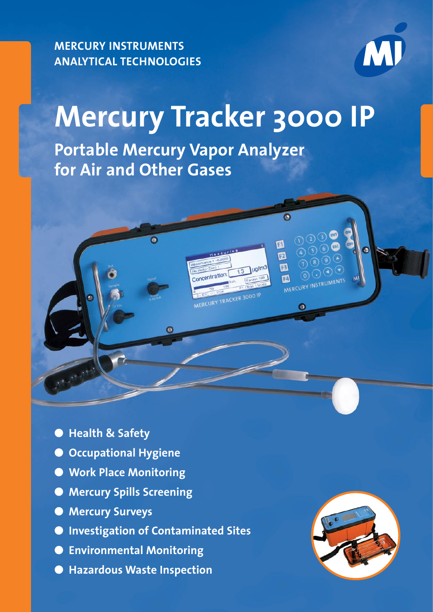**MERCURY INSTRUMENTS ANALYTICAL TECHNOLOGIES**



# **Mercury Tracker 3000 IP**

**Portable Mercury Vapor Analyzer for Air and Other Gases**



- **Health & Safety**
- **Occupational Hygiene**
- **Work Place Monitoring**
- **Mercury Spills Screening**
- **Mercury Surveys**
- **Investigation of Contaminated Sites**
- **Environmental Monitoring**
- **Hazardous Waste Inspection**

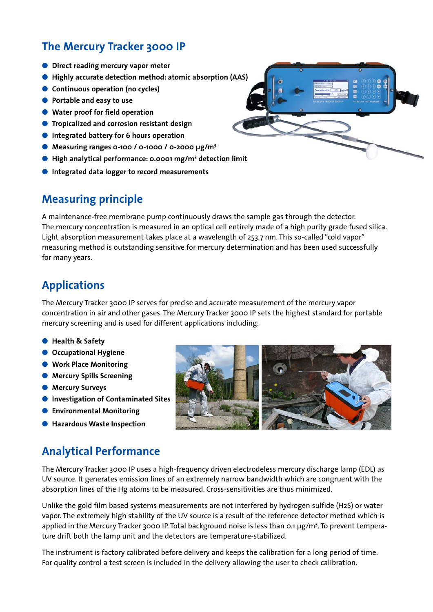## **The Mercury Tracker 3000 IP**

- **Direct reading mercury vapor meter**
- ● **Highly accurate detection method: atomic absorption (AAS)**
- **Continuous operation (no cycles)**
- ● **Portable and easy to use**
- Water proof for field operation
- ● **Tropicalized and corrosion resistant design**
- ● **Integrated battery for 6 hours operation**
- Measuring ranges **0-100 / 0-1000 / 0-2000 µg/m**<sup>3</sup>
- High analytical performance: 0.0001 mg/m<sup>3</sup> detection limit
- ● **Integrated data logger to record measurements**

#### **Measuring principle**

A maintenance-free membrane pump continuously draws the sample gas through the detector. The mercury concentration is measured in an optical cell entirely made of a high purity grade fused silica. Light absorption measurement takes place at a wavelength of 253.7 nm. This so-called "cold vapor" measuring method is outstanding sensitive for mercury determination and has been used successfully for many years.

#### **Applications**

The Mercury Tracker 3000 IP serves for precise and accurate measurement of the mercury vapor concentration in air and other gases. The Mercury Tracker 3000 IP sets the highest standard for portable mercury screening and is used for different applications including:

- ● **Health & Safety**
- **Occupational Hygiene**
- ● **Work Place Monitoring**
- **Mercury Spills Screening**
- **Mercury Surveys**
- ● **Investigation of Contaminated Sites**
- ● **Environmental Monitoring**
- ● **Hazardous Waste Inspection**

### **Analytical Performance**

The Mercury Tracker 3000 IP uses a high-frequency driven electrodeless mercury discharge lamp (EDL) as UV source. It generates emission lines of an extremely narrow bandwidth which are congruent with the absorption lines of the Hg atoms to be measured. Cross-sensitivities are thus minimized.

Unlike the gold film based systems measurements are not interfered by hydrogen sulfide (H2S) or water vapor. The extremely high stability of the UV source is a result of the reference detector method which is applied in the Mercury Tracker 3000 IP. Total background noise is less than 0.1 µg/m<sup>3</sup>. To prevent temperature drift both the lamp unit and the detectors are temperature-stabilized.

The instrument is factory calibrated before delivery and keeps the calibration for a long period of time. For quality control a test screen is included in the delivery allowing the user to check calibration.



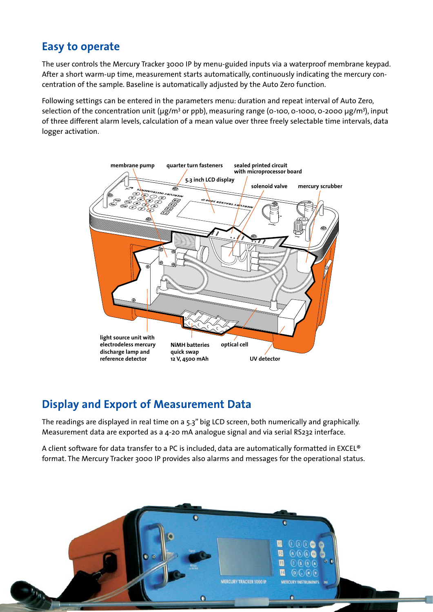#### **Easy to operate**

The user controls the Mercury Tracker 3000 IP by menu-guided inputs via a waterproof membrane keypad. After a short warm-up time, measurement starts automatically, continuously indicating the mercury concentration of the sample. Baseline is automatically adjusted by the Auto Zero function.

Following settings can be entered in the parameters menu: duration and repeat interval of Auto Zero, selection of the concentration unit (µg/m<sup>3</sup> or ppb), measuring range (0-100, 0-1000, 0-2000 µg/m<sup>3</sup>), input of three different alarm levels, calculation of a mean value over three freely selectable time intervals, data logger activation.



### **Display and Export of Measurement Data**

The readings are displayed in real time on a 5.3" big LCD screen, both numerically and graphically. Measurement data are exported as a 4-20 mA analogue signal and via serial RS232 interface.

A client software for data transfer to a PC is included, data are automatically formatted in EXCEL® format. The Mercury Tracker 3000 IP provides also alarms and messages for the operational status.

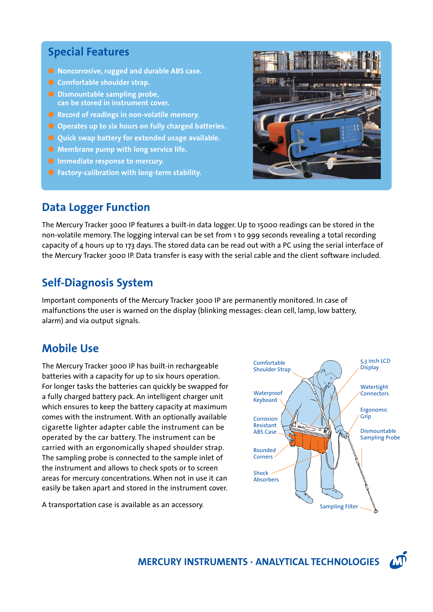#### **Special Features**

- **Noncorrosive, rugged and durable ABS case.**
- **Comfortable shoulder strap.**
- Dismountable sampling probe, **can be stored in instrument cover.**
- **Record of readings in non-volatile memory.**
- Operates up to six hours on fully charged batteries.
- **Quick swap battery for extended usage available.**
- Membrane pump with long service life.
- **O** Immediate response to mercury.
- Factory-calibration with long-term stability.

#### **Data Logger Function**



The Mercury Tracker 3000 IP features a built-in data logger. Up to 15000 readings can be stored in the non-volatile memory. The logging interval can be set from 1 to 999 seconds revealing a total recording capacity of 4 hours up to 173 days. The stored data can be read out with a PC using the serial interface of the Mercury Tracker 3000 IP. Data transfer is easy with the serial cable and the client software included.

### **Self-Diagnosis System**

Important components of the Mercury Tracker 3000 IP are permanently monitored. In case of malfunctions the user is warned on the display (blinking messages: clean cell, lamp, low battery, alarm) and via output signals.

#### **Mobile Use**

The Mercury Tracker 3000 IP has built-in rechargeable batteries with a capacity for up to six hours operation. For longer tasks the batteries can quickly be swapped for a fully charged battery pack. An intelligent charger unit which ensures to keep the battery capacity at maximum comes with the instrument. With an optionally available cigarette lighter adapter cable the instrument can be operated by the car battery. The instrument can be carried with an ergonomically shaped shoulder strap. The sampling probe is connected to the sample inlet of the instrument and allows to check spots or to screen areas for mercury concentrations. When not in use it can easily be taken apart and stored in the instrument cover.

A transportation case is available as an accessory.



**MERCURY INSTRUMENTS · ANALYTICAL TECHNOLOGIES**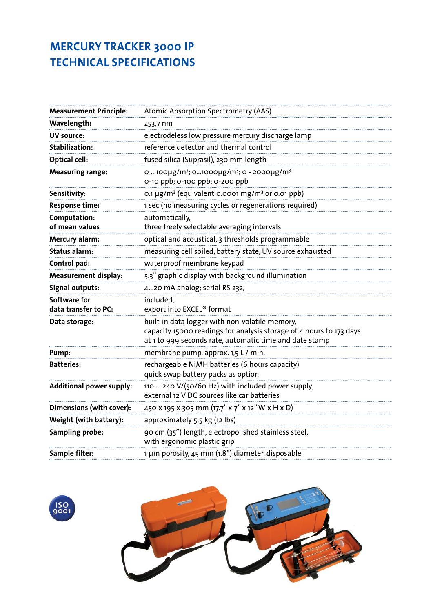# **MERCURY TRACKER 3000 IP TECHNICAL SPECIFICATIONS**

| <b>Measurement Principle:</b>        | Atomic Absorption Spectrometry (AAS)                                                                                                                                             |
|--------------------------------------|----------------------------------------------------------------------------------------------------------------------------------------------------------------------------------|
| Wavelength:                          | 253,7 nm                                                                                                                                                                         |
| <b>UV source:</b>                    | electrodeless low pressure mercury discharge lamp                                                                                                                                |
| <b>Stabilization:</b>                | reference detector and thermal control                                                                                                                                           |
| Optical cell:                        | fused silica (Suprasil), 230 mm length                                                                                                                                           |
| <b>Measuring range:</b>              | ο 100μg/m <sup>3</sup> ; o1000μg/m <sup>3</sup> ; o - 2000μg/m <sup>3</sup><br>0-10 ppb; 0-100 ppb; 0-200 ppb                                                                    |
| Sensitivity:                         | 0.1 µg/m <sup>3</sup> (equivalent 0.0001 mg/m <sup>3</sup> or 0.01 ppb)                                                                                                          |
| Response time:                       | 1 sec (no measuring cycles or regenerations required)                                                                                                                            |
| Computation:<br>of mean values       | automatically,<br>three freely selectable averaging intervals                                                                                                                    |
| Mercury alarm:                       | optical and acoustical, 3 thresholds programmable                                                                                                                                |
| <b>Status alarm:</b>                 | measuring cell soiled, battery state, UV source exhausted                                                                                                                        |
| Control pad:                         | waterproof membrane keypad                                                                                                                                                       |
| Measurement display:                 | 5.3" graphic display with background illumination                                                                                                                                |
| Signal outputs:                      | 420 mA analog; serial RS 232,                                                                                                                                                    |
| Software for<br>data transfer to PC: | included,<br>export into EXCEL <sup>®</sup> format                                                                                                                               |
| Data storage:                        | built-in data logger with non-volatile memory,<br>capacity 15000 readings for analysis storage of 4 hours to 173 days<br>at 1 to 999 seconds rate, automatic time and date stamp |
| Pump:                                | membrane pump, approx. 1,5 L / min.                                                                                                                                              |
| <b>Batteries:</b>                    | rechargeable NiMH batteries (6 hours capacity)<br>quick swap battery packs as option                                                                                             |
| <b>Additional power supply:</b>      | 110  240 V/(50/60 Hz) with included power supply;<br>external 12 V DC sources like car batteries                                                                                 |
| Dimensions (with cover):             | 450 x 195 x 305 mm (17.7" x 7" x 12" W x H x D)                                                                                                                                  |
| Weight (with battery):               | approximately 5.5 kg (12 lbs)                                                                                                                                                    |
| <b>Sampling probe:</b>               | 90 cm (35") length, electropolished stainless steel,<br>with ergonomic plastic grip                                                                                              |
| Sample filter:                       | 1 µm porosity, 45 mm (1.8") diameter, disposable                                                                                                                                 |